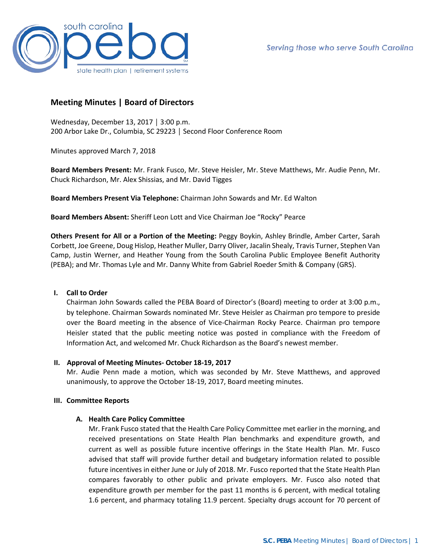

# **Meeting Minutes | Board of Directors**

Wednesday, December 13, 2017 │ 3:00 p.m. 200 Arbor Lake Dr., Columbia, SC 29223 │ Second Floor Conference Room

Minutes approved March 7, 2018

**Board Members Present:** Mr. Frank Fusco, Mr. Steve Heisler, Mr. Steve Matthews, Mr. Audie Penn, Mr. Chuck Richardson, Mr. Alex Shissias, and Mr. David Tigges

**Board Members Present Via Telephone:** Chairman John Sowards and Mr. Ed Walton

**Board Members Absent:** Sheriff Leon Lott and Vice Chairman Joe "Rocky" Pearce

**Others Present for All or a Portion of the Meeting:** Peggy Boykin, Ashley Brindle, Amber Carter, Sarah Corbett, Joe Greene, Doug Hislop, Heather Muller, Darry Oliver, Jacalin Shealy, Travis Turner, Stephen Van Camp, Justin Werner, and Heather Young from the South Carolina Public Employee Benefit Authority (PEBA); and Mr. Thomas Lyle and Mr. Danny White from Gabriel Roeder Smith & Company (GRS).

### **I. Call to Order**

Chairman John Sowards called the PEBA Board of Director's (Board) meeting to order at 3:00 p.m., by telephone. Chairman Sowards nominated Mr. Steve Heisler as Chairman pro tempore to preside over the Board meeting in the absence of Vice-Chairman Rocky Pearce. Chairman pro tempore Heisler stated that the public meeting notice was posted in compliance with the Freedom of Information Act, and welcomed Mr. Chuck Richardson as the Board's newest member.

### **II. Approval of Meeting Minutes- October 18-19, 2017**

Mr. Audie Penn made a motion, which was seconded by Mr. Steve Matthews, and approved unanimously, to approve the October 18-19, 2017, Board meeting minutes.

### **III. Committee Reports**

## **A. Health Care Policy Committee**

Mr. Frank Fusco stated that the Health Care Policy Committee met earlier in the morning, and received presentations on State Health Plan benchmarks and expenditure growth, and current as well as possible future incentive offerings in the State Health Plan. Mr. Fusco advised that staff will provide further detail and budgetary information related to possible future incentives in either June or July of 2018. Mr. Fusco reported that the State Health Plan compares favorably to other public and private employers. Mr. Fusco also noted that expenditure growth per member for the past 11 months is 6 percent, with medical totaling 1.6 percent, and pharmacy totaling 11.9 percent. Specialty drugs account for 70 percent of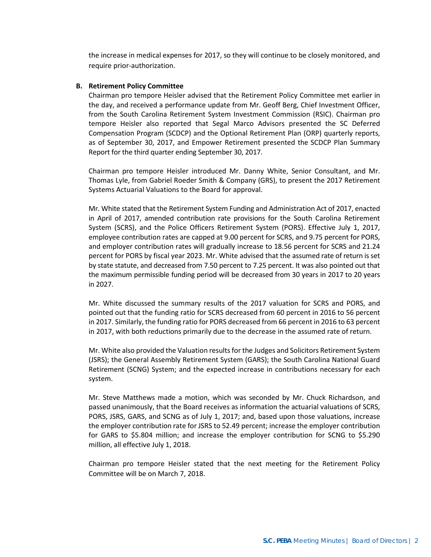the increase in medical expenses for 2017, so they will continue to be closely monitored, and require prior-authorization.

#### **B. Retirement Policy Committee**

Chairman pro tempore Heisler advised that the Retirement Policy Committee met earlier in the day, and received a performance update from Mr. Geoff Berg, Chief Investment Officer, from the South Carolina Retirement System Investment Commission (RSIC). Chairman pro tempore Heisler also reported that Segal Marco Advisors presented the SC Deferred Compensation Program (SCDCP) and the Optional Retirement Plan (ORP) quarterly reports, as of September 30, 2017, and Empower Retirement presented the SCDCP Plan Summary Report for the third quarter ending September 30, 2017.

Chairman pro tempore Heisler introduced Mr. Danny White, Senior Consultant, and Mr. Thomas Lyle, from Gabriel Roeder Smith & Company (GRS), to present the 2017 Retirement Systems Actuarial Valuations to the Board for approval.

Mr. White stated that the Retirement System Funding and Administration Act of 2017, enacted in April of 2017, amended contribution rate provisions for the South Carolina Retirement System (SCRS), and the Police Officers Retirement System (PORS). Effective July 1, 2017, employee contribution rates are capped at 9.00 percent for SCRS, and 9.75 percent for PORS, and employer contribution rates will gradually increase to 18.56 percent for SCRS and 21.24 percent for PORS by fiscal year 2023. Mr. White advised that the assumed rate of return is set by state statute, and decreased from 7.50 percent to 7.25 percent. It was also pointed out that the maximum permissible funding period will be decreased from 30 years in 2017 to 20 years in 2027.

Mr. White discussed the summary results of the 2017 valuation for SCRS and PORS, and pointed out that the funding ratio for SCRS decreased from 60 percent in 2016 to 56 percent in 2017. Similarly, the funding ratio for PORS decreased from 66 percent in 2016 to 63 percent in 2017, with both reductions primarily due to the decrease in the assumed rate of return.

Mr. White also provided the Valuation results for the Judges and Solicitors Retirement System (JSRS); the General Assembly Retirement System (GARS); the South Carolina National Guard Retirement (SCNG) System; and the expected increase in contributions necessary for each system.

Mr. Steve Matthews made a motion, which was seconded by Mr. Chuck Richardson, and passed unanimously, that the Board receives as information the actuarial valuations of SCRS, PORS, JSRS, GARS, and SCNG as of July 1, 2017; and, based upon those valuations, increase the employer contribution rate for JSRS to 52.49 percent; increase the employer contribution for GARS to \$5.804 million; and increase the employer contribution for SCNG to \$5.290 million, all effective July 1, 2018.

Chairman pro tempore Heisler stated that the next meeting for the Retirement Policy Committee will be on March 7, 2018.